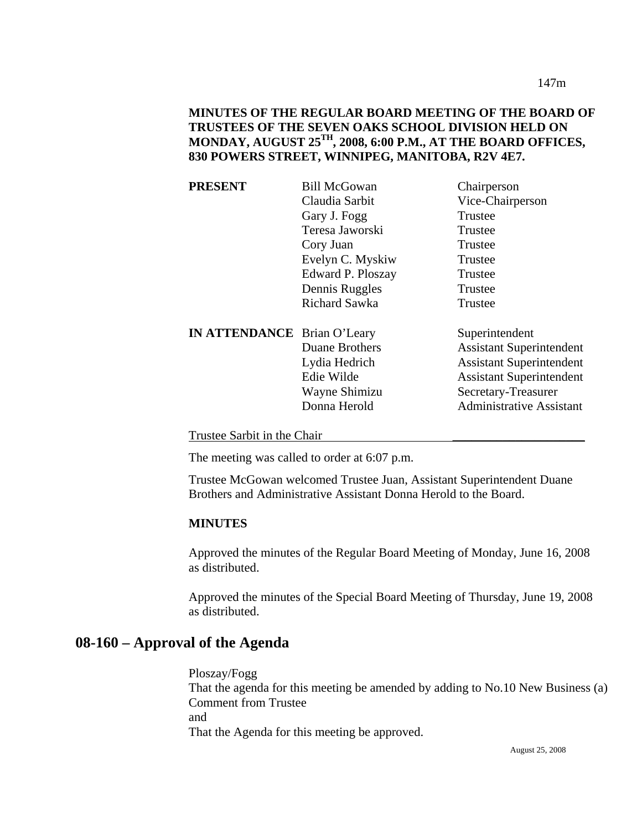147m

## **MINUTES OF THE REGULAR BOARD MEETING OF THE BOARD OF TRUSTEES OF THE SEVEN OAKS SCHOOL DIVISION HELD ON MONDAY, AUGUST 25TH, 2008, 6:00 P.M., AT THE BOARD OFFICES, 830 POWERS STREET, WINNIPEG, MANITOBA, R2V 4E7.**

| <b>PRESENT</b>                     | <b>Bill McGowan</b>  | Chairperson                     |
|------------------------------------|----------------------|---------------------------------|
|                                    | Claudia Sarbit       | Vice-Chairperson                |
|                                    | Gary J. Fogg         | Trustee                         |
|                                    | Teresa Jaworski      | Trustee                         |
|                                    | Cory Juan            | Trustee                         |
|                                    | Evelyn C. Myskiw     | Trustee                         |
|                                    | Edward P. Ploszay    | Trustee                         |
|                                    | Dennis Ruggles       | Trustee                         |
|                                    | <b>Richard Sawka</b> | Trustee                         |
| <b>IN ATTENDANCE</b> Brian O'Leary |                      | Superintendent                  |
|                                    | Duane Brothers       | <b>Assistant Superintendent</b> |
|                                    | Lydia Hedrich        | <b>Assistant Superintendent</b> |
|                                    | Edie Wilde           | <b>Assistant Superintendent</b> |
|                                    | Wayne Shimizu        | Secretary-Treasurer             |
|                                    | Donna Herold         | <b>Administrative Assistant</b> |
|                                    |                      |                                 |

Trustee Sarbit in the Chair \_\_\_\_\_\_\_\_\_\_\_\_\_\_\_\_\_\_\_\_\_

The meeting was called to order at 6:07 p.m.

Trustee McGowan welcomed Trustee Juan, Assistant Superintendent Duane Brothers and Administrative Assistant Donna Herold to the Board.

#### **MINUTES**

Approved the minutes of the Regular Board Meeting of Monday, June 16, 2008 as distributed.

Approved the minutes of the Special Board Meeting of Thursday, June 19, 2008 as distributed.

# **08-160 – Approval of the Agenda**

Ploszay/Fogg That the agenda for this meeting be amended by adding to No.10 New Business (a) Comment from Trustee and That the Agenda for this meeting be approved.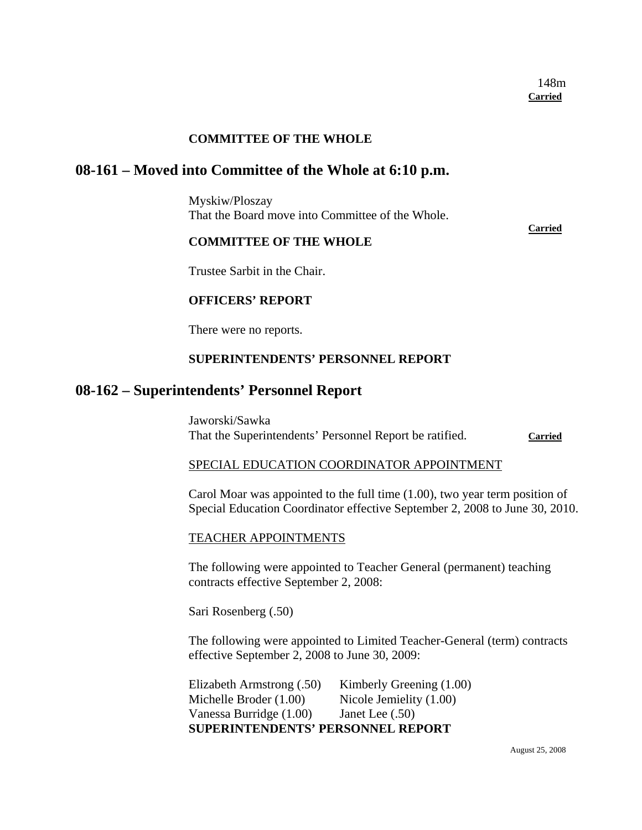## **COMMITTEE OF THE WHOLE**

## **08-161 – Moved into Committee of the Whole at 6:10 p.m.**

Myskiw/Ploszay That the Board move into Committee of the Whole.

### **COMMITTEE OF THE WHOLE**

**Carried**

#### Trustee Sarbit in the Chair.

#### **OFFICERS' REPORT**

There were no reports.

#### **SUPERINTENDENTS' PERSONNEL REPORT**

## **08-162 – Superintendents' Personnel Report**

Jaworski/Sawka That the Superintendents' Personnel Report be ratified. **Carried**

#### SPECIAL EDUCATION COORDINATOR APPOINTMENT

Carol Moar was appointed to the full time (1.00), two year term position of Special Education Coordinator effective September 2, 2008 to June 30, 2010.

#### TEACHER APPOINTMENTS

The following were appointed to Teacher General (permanent) teaching contracts effective September 2, 2008:

Sari Rosenberg (.50)

The following were appointed to Limited Teacher-General (term) contracts effective September 2, 2008 to June 30, 2009:

Elizabeth Armstrong (.50) Kimberly Greening (1.00) Michelle Broder (1.00) Nicole Jemielity (1.00) Vanessa Burridge (1.00) Janet Lee (.50) **SUPERINTENDENTS' PERSONNEL REPORT**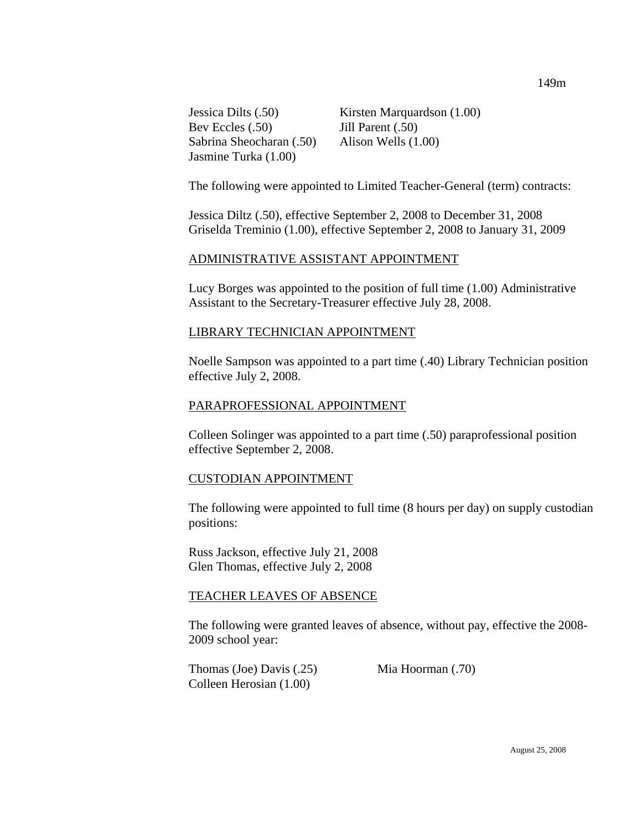Bev Eccles (.50) Jill Parent (.50) Sabrina Sheocharan (.50) Alison Wells (1.00) Jasmine Turka (1.00)

Jessica Dilts (.50) Kirsten Marquardson (1.00)

The following were appointed to Limited Teacher-General (term) contracts:

Jessica Diltz (.50), effective September 2, 2008 to December 31, 2008 Griselda Treminio (1.00), effective September 2, 2008 to January 31, 2009

### ADMINISTRATIVE ASSISTANT APPOINTMENT

Lucy Borges was appointed to the position of full time (1.00) Administrative Assistant to the Secretary-Treasurer effective July 28, 2008.

#### LIBRARY TECHNICIAN APPOINTMENT

Noelle Sampson was appointed to a part time (.40) Library Technician position effective July 2, 2008.

#### PARAPROFESSIONAL APPOINTMENT

Colleen Solinger was appointed to a part time (.50) paraprofessional position effective September 2, 2008.

#### CUSTODIAN APPOINTMENT

The following were appointed to full time (8 hours per day) on supply custodian positions:

Russ Jackson, effective July 21, 2008 Glen Thomas, effective July 2, 2008

#### TEACHER LEAVES OF ABSENCE

The following were granted leaves of absence, without pay, effective the 2008- 2009 school year:

Thomas (Joe) Davis (.25) Mia Hoorman (.70) Colleen Herosian (1.00)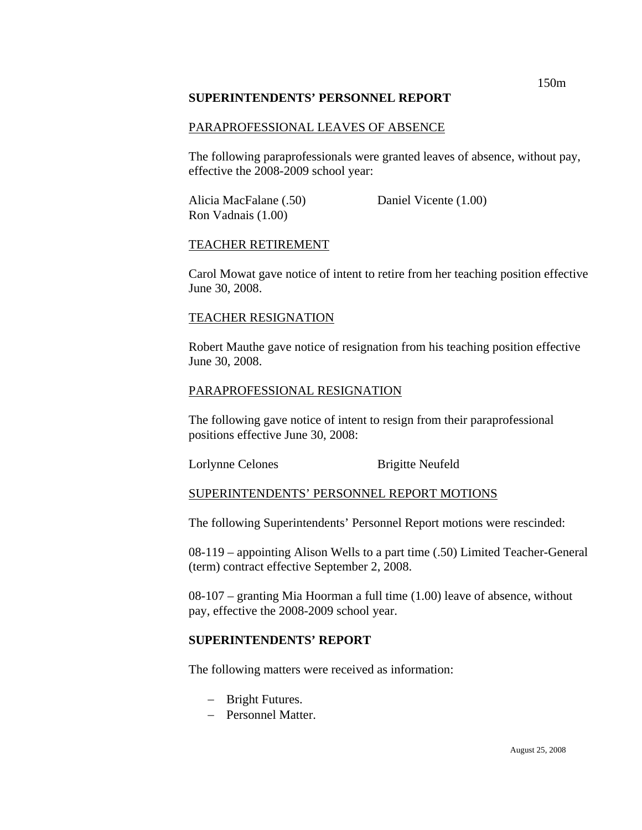#### **SUPERINTENDENTS' PERSONNEL REPORT**

#### PARAPROFESSIONAL LEAVES OF ABSENCE

The following paraprofessionals were granted leaves of absence, without pay, effective the 2008-2009 school year:

Alicia MacFalane (.50) Daniel Vicente (1.00) Ron Vadnais (1.00)

#### TEACHER RETIREMENT

Carol Mowat gave notice of intent to retire from her teaching position effective June 30, 2008.

#### TEACHER RESIGNATION

Robert Mauthe gave notice of resignation from his teaching position effective June 30, 2008.

### PARAPROFESSIONAL RESIGNATION

The following gave notice of intent to resign from their paraprofessional positions effective June 30, 2008:

Lorlynne Celones Brigitte Neufeld

#### SUPERINTENDENTS' PERSONNEL REPORT MOTIONS

The following Superintendents' Personnel Report motions were rescinded:

08-119 – appointing Alison Wells to a part time (.50) Limited Teacher-General (term) contract effective September 2, 2008.

08-107 – granting Mia Hoorman a full time (1.00) leave of absence, without pay, effective the 2008-2009 school year.

### **SUPERINTENDENTS' REPORT**

The following matters were received as information:

- − Bright Futures.
- − Personnel Matter.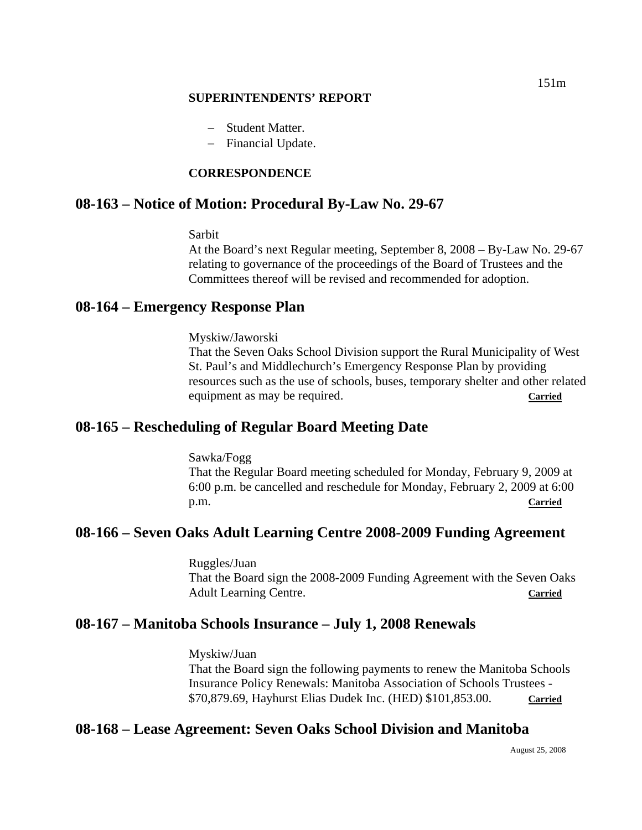#### **SUPERINTENDENTS' REPORT**

- − Student Matter.
- − Financial Update.

## **CORRESPONDENCE**

# **08-163 – Notice of Motion: Procedural By-Law No. 29-67**

#### Sarbit

At the Board's next Regular meeting, September 8, 2008 – By-Law No. 29-67 relating to governance of the proceedings of the Board of Trustees and the Committees thereof will be revised and recommended for adoption.

# **08-164 – Emergency Response Plan**

Myskiw/Jaworski

That the Seven Oaks School Division support the Rural Municipality of West St. Paul's and Middlechurch's Emergency Response Plan by providing resources such as the use of schools, buses, temporary shelter and other related equipment as may be required. **Carried** 

# **08-165 – Rescheduling of Regular Board Meeting Date**

Sawka/Fogg That the Regular Board meeting scheduled for Monday, February 9, 2009 at 6:00 p.m. be cancelled and reschedule for Monday, February 2, 2009 at 6:00 p.m. **Carried**

# **08-166 – Seven Oaks Adult Learning Centre 2008-2009 Funding Agreement**

Ruggles/Juan That the Board sign the 2008-2009 Funding Agreement with the Seven Oaks Adult Learning Centre. **Carried** 

# **08-167 – Manitoba Schools Insurance – July 1, 2008 Renewals**

Myskiw/Juan That the Board sign the following payments to renew the Manitoba Schools Insurance Policy Renewals: Manitoba Association of Schools Trustees - \$70,879.69, Hayhurst Elias Dudek Inc. (HED) \$101,853.00. **Carried**

# **08-168 – Lease Agreement: Seven Oaks School Division and Manitoba**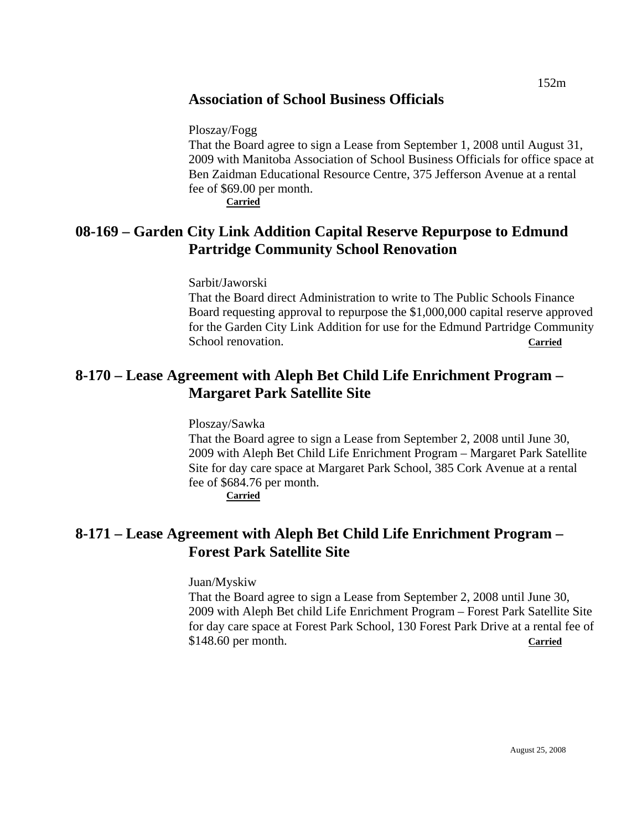# **Association of School Business Officials**

Ploszay/Fogg

That the Board agree to sign a Lease from September 1, 2008 until August 31, 2009 with Manitoba Association of School Business Officials for office space at Ben Zaidman Educational Resource Centre, 375 Jefferson Avenue at a rental fee of \$69.00 per month. **Carried**

**08-169 – Garden City Link Addition Capital Reserve Repurpose to Edmund Partridge Community School Renovation** 

Sarbit/Jaworski

That the Board direct Administration to write to The Public Schools Finance Board requesting approval to repurpose the \$1,000,000 capital reserve approved for the Garden City Link Addition for use for the Edmund Partridge Community School renovation. **Carried**

# **8-170 – Lease Agreement with Aleph Bet Child Life Enrichment Program – Margaret Park Satellite Site**

Ploszay/Sawka

That the Board agree to sign a Lease from September 2, 2008 until June 30, 2009 with Aleph Bet Child Life Enrichment Program – Margaret Park Satellite Site for day care space at Margaret Park School, 385 Cork Avenue at a rental fee of \$684.76 per month.

**Carried**

# **8-171 – Lease Agreement with Aleph Bet Child Life Enrichment Program – Forest Park Satellite Site**

Juan/Myskiw

That the Board agree to sign a Lease from September 2, 2008 until June 30, 2009 with Aleph Bet child Life Enrichment Program – Forest Park Satellite Site for day care space at Forest Park School, 130 Forest Park Drive at a rental fee of \$148.60 per month. **Carried**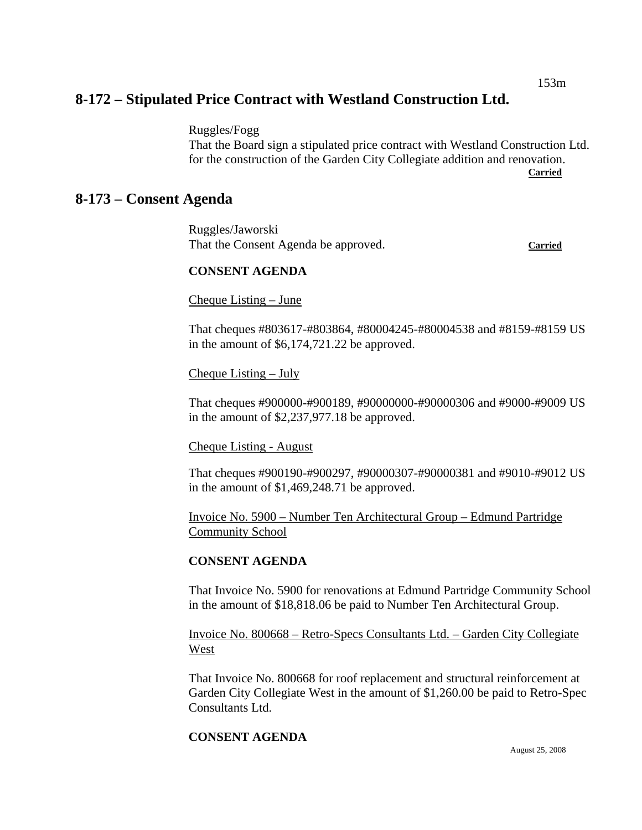153m

# **8-172 – Stipulated Price Contract with Westland Construction Ltd.**

Ruggles/Fogg

That the Board sign a stipulated price contract with Westland Construction Ltd. for the construction of the Garden City Collegiate addition and renovation. **Carried** 

# **8-173 – Consent Agenda**

Ruggles/Jaworski That the Consent Agenda be approved. **Carried**

#### **CONSENT AGENDA**

Cheque Listing – June

That cheques #803617-#803864, #80004245-#80004538 and #8159-#8159 US in the amount of \$6,174,721.22 be approved.

Cheque Listing – July

That cheques #900000-#900189, #90000000-#90000306 and #9000-#9009 US in the amount of \$2,237,977.18 be approved.

Cheque Listing - August

That cheques #900190-#900297, #90000307-#90000381 and #9010-#9012 US in the amount of \$1,469,248.71 be approved.

Invoice No. 5900 – Number Ten Architectural Group – Edmund Partridge Community School

### **CONSENT AGENDA**

That Invoice No. 5900 for renovations at Edmund Partridge Community School in the amount of \$18,818.06 be paid to Number Ten Architectural Group.

Invoice No. 800668 – Retro-Specs Consultants Ltd. – Garden City Collegiate West

That Invoice No. 800668 for roof replacement and structural reinforcement at Garden City Collegiate West in the amount of \$1,260.00 be paid to Retro-Spec Consultants Ltd.

### **CONSENT AGENDA**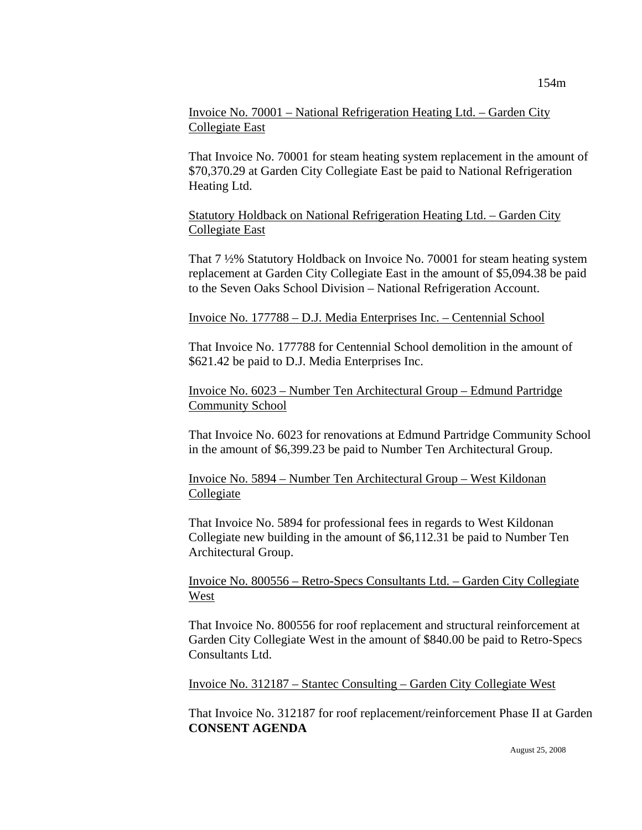## Invoice No. 70001 – National Refrigeration Heating Ltd. – Garden City Collegiate East

That Invoice No. 70001 for steam heating system replacement in the amount of \$70,370.29 at Garden City Collegiate East be paid to National Refrigeration Heating Ltd.

Statutory Holdback on National Refrigeration Heating Ltd. – Garden City Collegiate East

That 7 ½% Statutory Holdback on Invoice No. 70001 for steam heating system replacement at Garden City Collegiate East in the amount of \$5,094.38 be paid to the Seven Oaks School Division – National Refrigeration Account.

### Invoice No. 177788 – D.J. Media Enterprises Inc. – Centennial School

That Invoice No. 177788 for Centennial School demolition in the amount of \$621.42 be paid to D.J. Media Enterprises Inc.

Invoice No. 6023 – Number Ten Architectural Group – Edmund Partridge Community School

That Invoice No. 6023 for renovations at Edmund Partridge Community School in the amount of \$6,399.23 be paid to Number Ten Architectural Group.

Invoice No. 5894 – Number Ten Architectural Group – West Kildonan Collegiate

That Invoice No. 5894 for professional fees in regards to West Kildonan Collegiate new building in the amount of \$6,112.31 be paid to Number Ten Architectural Group.

Invoice No. 800556 – Retro-Specs Consultants Ltd. – Garden City Collegiate West

That Invoice No. 800556 for roof replacement and structural reinforcement at Garden City Collegiate West in the amount of \$840.00 be paid to Retro-Specs Consultants Ltd.

Invoice No. 312187 – Stantec Consulting – Garden City Collegiate West

That Invoice No. 312187 for roof replacement/reinforcement Phase II at Garden **CONSENT AGENDA**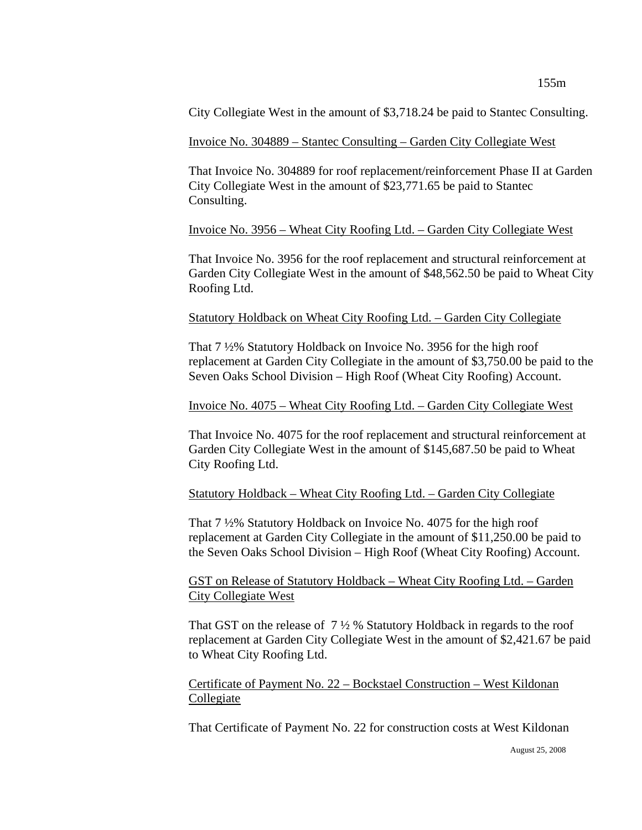City Collegiate West in the amount of \$3,718.24 be paid to Stantec Consulting.

#### Invoice No. 304889 – Stantec Consulting – Garden City Collegiate West

That Invoice No. 304889 for roof replacement/reinforcement Phase II at Garden City Collegiate West in the amount of \$23,771.65 be paid to Stantec Consulting.

#### Invoice No. 3956 – Wheat City Roofing Ltd. – Garden City Collegiate West

That Invoice No. 3956 for the roof replacement and structural reinforcement at Garden City Collegiate West in the amount of \$48,562.50 be paid to Wheat City Roofing Ltd.

#### Statutory Holdback on Wheat City Roofing Ltd. – Garden City Collegiate

That 7 ½% Statutory Holdback on Invoice No. 3956 for the high roof replacement at Garden City Collegiate in the amount of \$3,750.00 be paid to the Seven Oaks School Division – High Roof (Wheat City Roofing) Account.

#### Invoice No. 4075 – Wheat City Roofing Ltd. – Garden City Collegiate West

That Invoice No. 4075 for the roof replacement and structural reinforcement at Garden City Collegiate West in the amount of \$145,687.50 be paid to Wheat City Roofing Ltd.

### Statutory Holdback – Wheat City Roofing Ltd. – Garden City Collegiate

That 7 ½% Statutory Holdback on Invoice No. 4075 for the high roof replacement at Garden City Collegiate in the amount of \$11,250.00 be paid to the Seven Oaks School Division – High Roof (Wheat City Roofing) Account.

### GST on Release of Statutory Holdback – Wheat City Roofing Ltd. – Garden City Collegiate West

That GST on the release of  $7\frac{1}{2}$ % Statutory Holdback in regards to the roof replacement at Garden City Collegiate West in the amount of \$2,421.67 be paid to Wheat City Roofing Ltd.

### Certificate of Payment No. 22 – Bockstael Construction – West Kildonan Collegiate

That Certificate of Payment No. 22 for construction costs at West Kildonan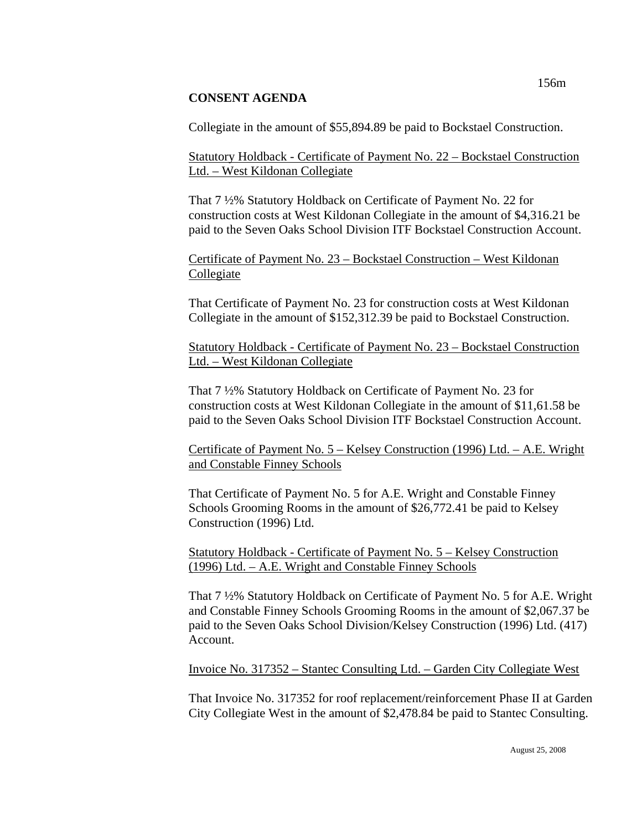## **CONSENT AGENDA**

Collegiate in the amount of \$55,894.89 be paid to Bockstael Construction.

Statutory Holdback - Certificate of Payment No. 22 – Bockstael Construction Ltd. – West Kildonan Collegiate

That 7 ½% Statutory Holdback on Certificate of Payment No. 22 for construction costs at West Kildonan Collegiate in the amount of \$4,316.21 be paid to the Seven Oaks School Division ITF Bockstael Construction Account.

Certificate of Payment No. 23 – Bockstael Construction – West Kildonan Collegiate

That Certificate of Payment No. 23 for construction costs at West Kildonan Collegiate in the amount of \$152,312.39 be paid to Bockstael Construction.

Statutory Holdback - Certificate of Payment No. 23 – Bockstael Construction Ltd. – West Kildonan Collegiate

That 7 ½% Statutory Holdback on Certificate of Payment No. 23 for construction costs at West Kildonan Collegiate in the amount of \$11,61.58 be paid to the Seven Oaks School Division ITF Bockstael Construction Account.

Certificate of Payment No. 5 – Kelsey Construction (1996) Ltd. – A.E. Wright and Constable Finney Schools

That Certificate of Payment No. 5 for A.E. Wright and Constable Finney Schools Grooming Rooms in the amount of \$26,772.41 be paid to Kelsey Construction (1996) Ltd.

Statutory Holdback - Certificate of Payment No. 5 – Kelsey Construction (1996) Ltd. – A.E. Wright and Constable Finney Schools

That 7 ½% Statutory Holdback on Certificate of Payment No. 5 for A.E. Wright and Constable Finney Schools Grooming Rooms in the amount of \$2,067.37 be paid to the Seven Oaks School Division/Kelsey Construction (1996) Ltd. (417) Account.

Invoice No. 317352 – Stantec Consulting Ltd. – Garden City Collegiate West

That Invoice No. 317352 for roof replacement/reinforcement Phase II at Garden City Collegiate West in the amount of \$2,478.84 be paid to Stantec Consulting.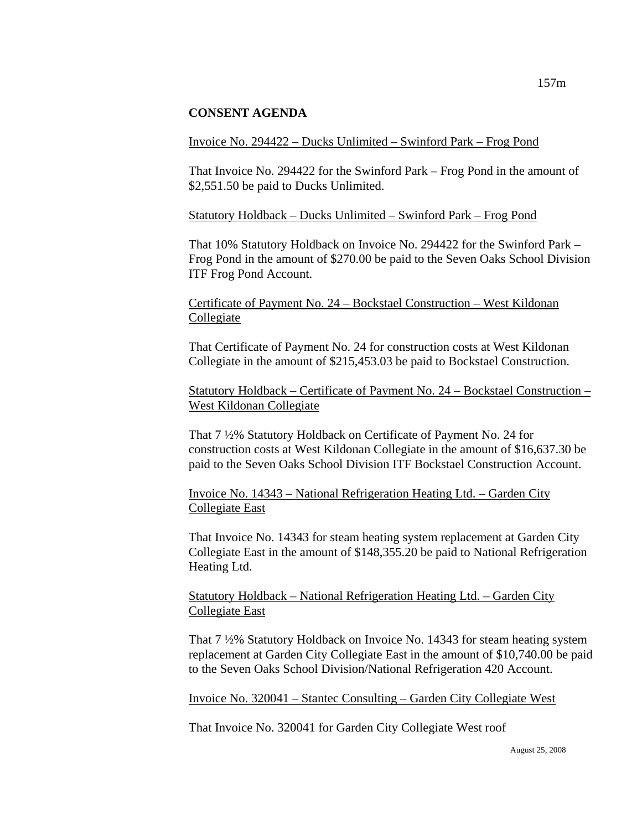#### **CONSENT AGENDA**

#### Invoice No. 294422 – Ducks Unlimited – Swinford Park – Frog Pond

That Invoice No. 294422 for the Swinford Park – Frog Pond in the amount of \$2,551.50 be paid to Ducks Unlimited.

#### Statutory Holdback – Ducks Unlimited – Swinford Park – Frog Pond

That 10% Statutory Holdback on Invoice No. 294422 for the Swinford Park – Frog Pond in the amount of \$270.00 be paid to the Seven Oaks School Division ITF Frog Pond Account.

### Certificate of Payment No. 24 – Bockstael Construction – West Kildonan Collegiate

That Certificate of Payment No. 24 for construction costs at West Kildonan Collegiate in the amount of \$215,453.03 be paid to Bockstael Construction.

Statutory Holdback – Certificate of Payment No. 24 – Bockstael Construction – West Kildonan Collegiate

That 7 ½% Statutory Holdback on Certificate of Payment No. 24 for construction costs at West Kildonan Collegiate in the amount of \$16,637.30 be paid to the Seven Oaks School Division ITF Bockstael Construction Account.

Invoice No. 14343 – National Refrigeration Heating Ltd. – Garden City Collegiate East

That Invoice No. 14343 for steam heating system replacement at Garden City Collegiate East in the amount of \$148,355.20 be paid to National Refrigeration Heating Ltd.

### Statutory Holdback – National Refrigeration Heating Ltd. – Garden City Collegiate East

That 7 ½% Statutory Holdback on Invoice No. 14343 for steam heating system replacement at Garden City Collegiate East in the amount of \$10,740.00 be paid to the Seven Oaks School Division/National Refrigeration 420 Account.

Invoice No. 320041 – Stantec Consulting – Garden City Collegiate West

That Invoice No. 320041 for Garden City Collegiate West roof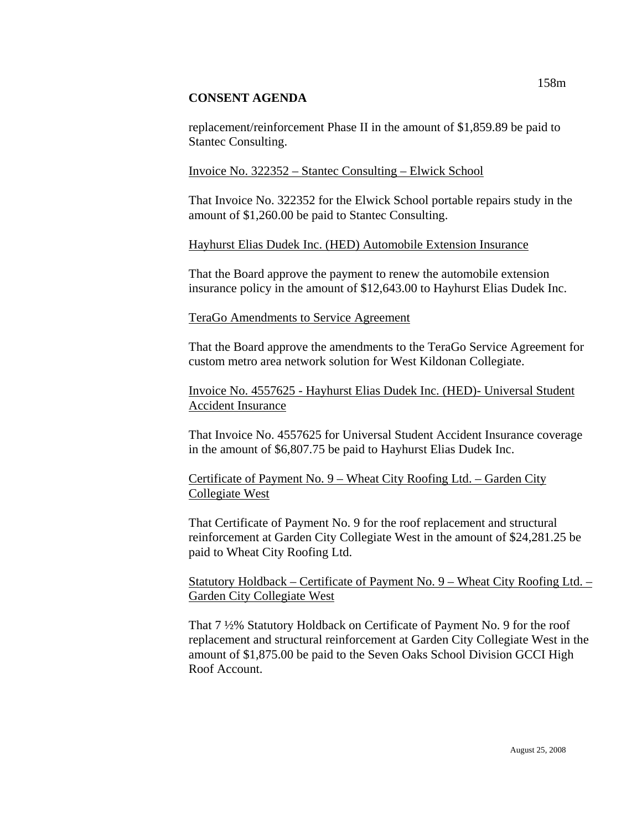### **CONSENT AGENDA**

replacement/reinforcement Phase II in the amount of \$1,859.89 be paid to Stantec Consulting.

## Invoice No. 322352 – Stantec Consulting – Elwick School

That Invoice No. 322352 for the Elwick School portable repairs study in the amount of \$1,260.00 be paid to Stantec Consulting.

## Hayhurst Elias Dudek Inc. (HED) Automobile Extension Insurance

That the Board approve the payment to renew the automobile extension insurance policy in the amount of \$12,643.00 to Hayhurst Elias Dudek Inc.

## TeraGo Amendments to Service Agreement

That the Board approve the amendments to the TeraGo Service Agreement for custom metro area network solution for West Kildonan Collegiate.

Invoice No. 4557625 - Hayhurst Elias Dudek Inc. (HED)- Universal Student Accident Insurance

That Invoice No. 4557625 for Universal Student Accident Insurance coverage in the amount of \$6,807.75 be paid to Hayhurst Elias Dudek Inc.

Certificate of Payment No. 9 – Wheat City Roofing Ltd. – Garden City Collegiate West

That Certificate of Payment No. 9 for the roof replacement and structural reinforcement at Garden City Collegiate West in the amount of \$24,281.25 be paid to Wheat City Roofing Ltd.

Statutory Holdback – Certificate of Payment No. 9 – Wheat City Roofing Ltd. – Garden City Collegiate West

That 7 ½% Statutory Holdback on Certificate of Payment No. 9 for the roof replacement and structural reinforcement at Garden City Collegiate West in the amount of \$1,875.00 be paid to the Seven Oaks School Division GCCI High Roof Account.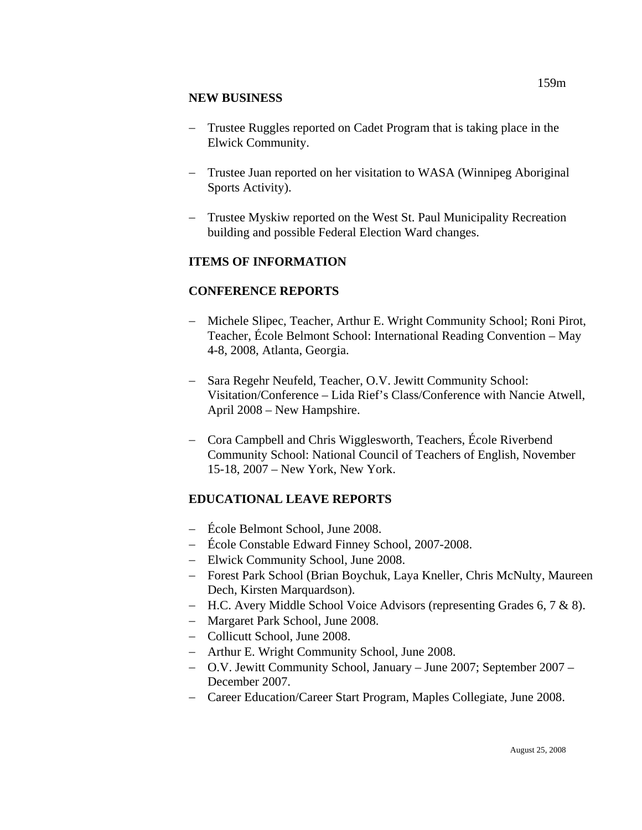## **NEW BUSINESS**

- − Trustee Ruggles reported on Cadet Program that is taking place in the Elwick Community.
- − Trustee Juan reported on her visitation to WASA (Winnipeg Aboriginal Sports Activity).
- − Trustee Myskiw reported on the West St. Paul Municipality Recreation building and possible Federal Election Ward changes.

## **ITEMS OF INFORMATION**

## **CONFERENCE REPORTS**

- − Michele Slipec, Teacher, Arthur E. Wright Community School; Roni Pirot, Teacher, École Belmont School: International Reading Convention – May 4-8, 2008, Atlanta, Georgia.
- − Sara Regehr Neufeld, Teacher, O.V. Jewitt Community School: Visitation/Conference – Lida Rief's Class/Conference with Nancie Atwell, April 2008 – New Hampshire.
- − Cora Campbell and Chris Wigglesworth, Teachers, École Riverbend Community School: National Council of Teachers of English, November 15-18, 2007 – New York, New York.

# **EDUCATIONAL LEAVE REPORTS**

- − École Belmont School, June 2008.
- − École Constable Edward Finney School, 2007-2008.
- − Elwick Community School, June 2008.
- − Forest Park School (Brian Boychuk, Laya Kneller, Chris McNulty, Maureen Dech, Kirsten Marquardson).
- − H.C. Avery Middle School Voice Advisors (representing Grades 6, 7 & 8).
- − Margaret Park School, June 2008.
- − Collicutt School, June 2008.
- − Arthur E. Wright Community School, June 2008.
- − O.V. Jewitt Community School, January June 2007; September 2007 December 2007.
- − Career Education/Career Start Program, Maples Collegiate, June 2008.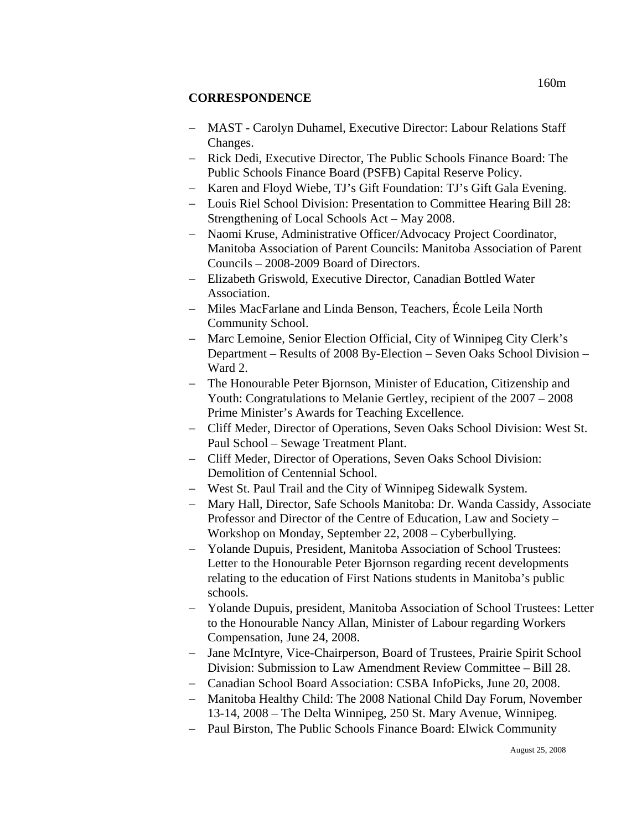## **CORRESPONDENCE**

- − MAST Carolyn Duhamel, Executive Director: Labour Relations Staff Changes.
- − Rick Dedi, Executive Director, The Public Schools Finance Board: The Public Schools Finance Board (PSFB) Capital Reserve Policy.
- − Karen and Floyd Wiebe, TJ's Gift Foundation: TJ's Gift Gala Evening.
- − Louis Riel School Division: Presentation to Committee Hearing Bill 28: Strengthening of Local Schools Act – May 2008.
- − Naomi Kruse, Administrative Officer/Advocacy Project Coordinator, Manitoba Association of Parent Councils: Manitoba Association of Parent Councils – 2008-2009 Board of Directors.
- − Elizabeth Griswold, Executive Director, Canadian Bottled Water Association.
- − Miles MacFarlane and Linda Benson, Teachers, École Leila North Community School.
- − Marc Lemoine, Senior Election Official, City of Winnipeg City Clerk's Department – Results of 2008 By-Election – Seven Oaks School Division – Ward 2.
- − The Honourable Peter Bjornson, Minister of Education, Citizenship and Youth: Congratulations to Melanie Gertley, recipient of the 2007 – 2008 Prime Minister's Awards for Teaching Excellence.
- − Cliff Meder, Director of Operations, Seven Oaks School Division: West St. Paul School – Sewage Treatment Plant.
- − Cliff Meder, Director of Operations, Seven Oaks School Division: Demolition of Centennial School.
- − West St. Paul Trail and the City of Winnipeg Sidewalk System.
- − Mary Hall, Director, Safe Schools Manitoba: Dr. Wanda Cassidy, Associate Professor and Director of the Centre of Education, Law and Society – Workshop on Monday, September 22, 2008 – Cyberbullying.
- − Yolande Dupuis, President, Manitoba Association of School Trustees: Letter to the Honourable Peter Bjornson regarding recent developments relating to the education of First Nations students in Manitoba's public schools.
- − Yolande Dupuis, president, Manitoba Association of School Trustees: Letter to the Honourable Nancy Allan, Minister of Labour regarding Workers Compensation, June 24, 2008.
- − Jane McIntyre, Vice-Chairperson, Board of Trustees, Prairie Spirit School Division: Submission to Law Amendment Review Committee – Bill 28.
- − Canadian School Board Association: CSBA InfoPicks, June 20, 2008.
- − Manitoba Healthy Child: The 2008 National Child Day Forum, November 13-14, 2008 – The Delta Winnipeg, 250 St. Mary Avenue, Winnipeg.
- − Paul Birston, The Public Schools Finance Board: Elwick Community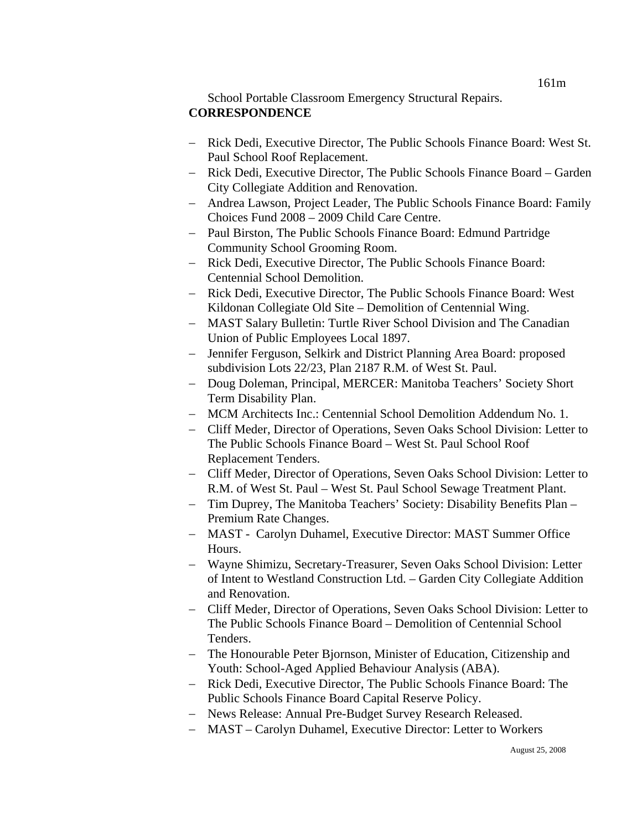## School Portable Classroom Emergency Structural Repairs. **CORRESPONDENCE**

- − Rick Dedi, Executive Director, The Public Schools Finance Board: West St. Paul School Roof Replacement.
- − Rick Dedi, Executive Director, The Public Schools Finance Board Garden City Collegiate Addition and Renovation.
- − Andrea Lawson, Project Leader, The Public Schools Finance Board: Family Choices Fund 2008 – 2009 Child Care Centre.
- − Paul Birston, The Public Schools Finance Board: Edmund Partridge Community School Grooming Room.
- − Rick Dedi, Executive Director, The Public Schools Finance Board: Centennial School Demolition.
- − Rick Dedi, Executive Director, The Public Schools Finance Board: West Kildonan Collegiate Old Site – Demolition of Centennial Wing.
- − MAST Salary Bulletin: Turtle River School Division and The Canadian Union of Public Employees Local 1897.
- − Jennifer Ferguson, Selkirk and District Planning Area Board: proposed subdivision Lots 22/23, Plan 2187 R.M. of West St. Paul.
- − Doug Doleman, Principal, MERCER: Manitoba Teachers' Society Short Term Disability Plan.
- − MCM Architects Inc.: Centennial School Demolition Addendum No. 1.
- − Cliff Meder, Director of Operations, Seven Oaks School Division: Letter to The Public Schools Finance Board – West St. Paul School Roof Replacement Tenders.
- − Cliff Meder, Director of Operations, Seven Oaks School Division: Letter to R.M. of West St. Paul – West St. Paul School Sewage Treatment Plant.
- − Tim Duprey, The Manitoba Teachers' Society: Disability Benefits Plan Premium Rate Changes.
- − MAST Carolyn Duhamel, Executive Director: MAST Summer Office Hours.
- − Wayne Shimizu, Secretary-Treasurer, Seven Oaks School Division: Letter of Intent to Westland Construction Ltd. – Garden City Collegiate Addition and Renovation.
- − Cliff Meder, Director of Operations, Seven Oaks School Division: Letter to The Public Schools Finance Board – Demolition of Centennial School Tenders.
- − The Honourable Peter Bjornson, Minister of Education, Citizenship and Youth: School-Aged Applied Behaviour Analysis (ABA).
- − Rick Dedi, Executive Director, The Public Schools Finance Board: The Public Schools Finance Board Capital Reserve Policy.
- − News Release: Annual Pre-Budget Survey Research Released.
- − MAST Carolyn Duhamel, Executive Director: Letter to Workers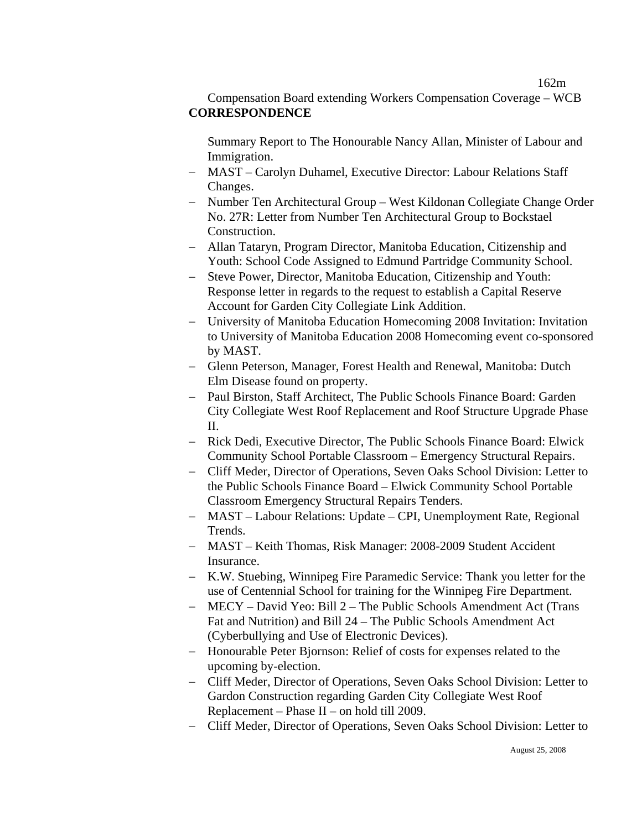162m

## Compensation Board extending Workers Compensation Coverage – WCB **CORRESPONDENCE**

Summary Report to The Honourable Nancy Allan, Minister of Labour and Immigration.

- − MAST Carolyn Duhamel, Executive Director: Labour Relations Staff Changes.
- − Number Ten Architectural Group West Kildonan Collegiate Change Order No. 27R: Letter from Number Ten Architectural Group to Bockstael Construction.
- − Allan Tataryn, Program Director, Manitoba Education, Citizenship and Youth: School Code Assigned to Edmund Partridge Community School.
- − Steve Power, Director, Manitoba Education, Citizenship and Youth: Response letter in regards to the request to establish a Capital Reserve Account for Garden City Collegiate Link Addition.
- − University of Manitoba Education Homecoming 2008 Invitation: Invitation to University of Manitoba Education 2008 Homecoming event co-sponsored by MAST.
- − Glenn Peterson, Manager, Forest Health and Renewal, Manitoba: Dutch Elm Disease found on property.
- − Paul Birston, Staff Architect, The Public Schools Finance Board: Garden City Collegiate West Roof Replacement and Roof Structure Upgrade Phase II.
- − Rick Dedi, Executive Director, The Public Schools Finance Board: Elwick Community School Portable Classroom – Emergency Structural Repairs.
- − Cliff Meder, Director of Operations, Seven Oaks School Division: Letter to the Public Schools Finance Board – Elwick Community School Portable Classroom Emergency Structural Repairs Tenders.
- − MAST Labour Relations: Update CPI, Unemployment Rate, Regional Trends.
- − MAST Keith Thomas, Risk Manager: 2008-2009 Student Accident Insurance.
- − K.W. Stuebing, Winnipeg Fire Paramedic Service: Thank you letter for the use of Centennial School for training for the Winnipeg Fire Department.
- − MECY David Yeo: Bill 2 The Public Schools Amendment Act (Trans Fat and Nutrition) and Bill 24 – The Public Schools Amendment Act (Cyberbullying and Use of Electronic Devices).
- − Honourable Peter Bjornson: Relief of costs for expenses related to the upcoming by-election.
- − Cliff Meder, Director of Operations, Seven Oaks School Division: Letter to Gardon Construction regarding Garden City Collegiate West Roof Replacement – Phase II – on hold till 2009.
- − Cliff Meder, Director of Operations, Seven Oaks School Division: Letter to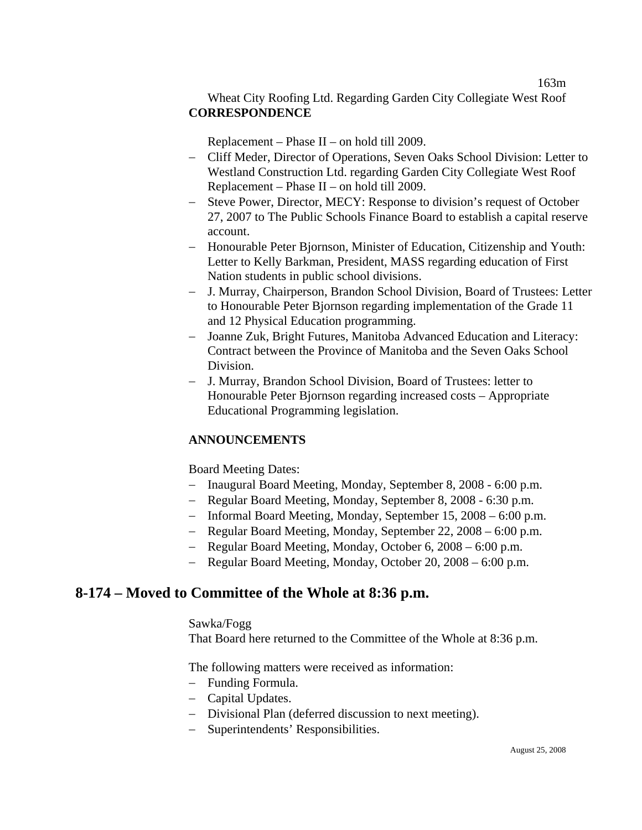## Wheat City Roofing Ltd. Regarding Garden City Collegiate West Roof **CORRESPONDENCE**

Replacement – Phase II – on hold till 2009.

- − Cliff Meder, Director of Operations, Seven Oaks School Division: Letter to Westland Construction Ltd. regarding Garden City Collegiate West Roof Replacement – Phase II – on hold till 2009.
- − Steve Power, Director, MECY: Response to division's request of October 27, 2007 to The Public Schools Finance Board to establish a capital reserve account.
- − Honourable Peter Bjornson, Minister of Education, Citizenship and Youth: Letter to Kelly Barkman, President, MASS regarding education of First Nation students in public school divisions.
- − J. Murray, Chairperson, Brandon School Division, Board of Trustees: Letter to Honourable Peter Bjornson regarding implementation of the Grade 11 and 12 Physical Education programming.
- − Joanne Zuk, Bright Futures, Manitoba Advanced Education and Literacy: Contract between the Province of Manitoba and the Seven Oaks School Division.
- − J. Murray, Brandon School Division, Board of Trustees: letter to Honourable Peter Bjornson regarding increased costs – Appropriate Educational Programming legislation.

## **ANNOUNCEMENTS**

Board Meeting Dates:

- − Inaugural Board Meeting, Monday, September 8, 2008 6:00 p.m.
- − Regular Board Meeting, Monday, September 8, 2008 6:30 p.m.
- − Informal Board Meeting, Monday, September 15, 2008 6:00 p.m.
- − Regular Board Meeting, Monday, September 22, 2008 6:00 p.m.
- − Regular Board Meeting, Monday, October 6, 2008 6:00 p.m.
- − Regular Board Meeting, Monday, October 20, 2008 6:00 p.m.

# **8-174 – Moved to Committee of the Whole at 8:36 p.m.**

### Sawka/Fogg

That Board here returned to the Committee of the Whole at 8:36 p.m.

The following matters were received as information:

- − Funding Formula.
- − Capital Updates.
- − Divisional Plan (deferred discussion to next meeting).
- − Superintendents' Responsibilities.